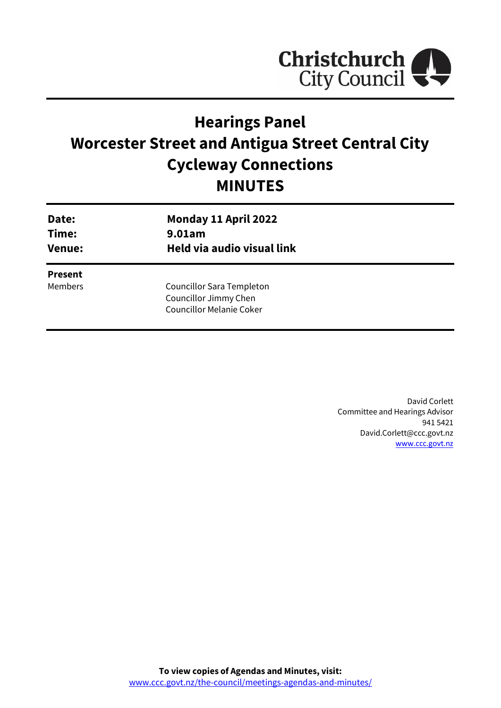

# **Hearings Panel Worcester Street and Antigua Street Central City Cycleway Connections MINUTES**

| Date:<br>Time:<br><b>Venue:</b> | Monday 11 April 2022<br>9.01am<br>Held via audio visual link                          |  |
|---------------------------------|---------------------------------------------------------------------------------------|--|
| <b>Present</b><br>Members       | Councillor Sara Templeton<br>Councillor Jimmy Chen<br><b>Councillor Melanie Coker</b> |  |

David Corlett Committee and Hearings Advisor 941 5421 David.Corlett@ccc.govt.nz [www.ccc.govt.nz](http://www.ccc.govt.nz/)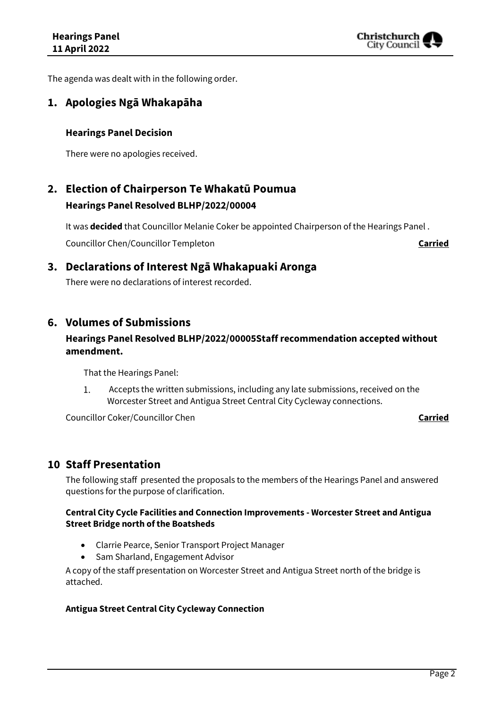

The agenda was dealt with in the following order.

## **1. Apologies Ngā Whakapāha**

### **Hearings Panel Decision**

There were no apologies received.

## **2. Election of Chairperson Te Whakatū Poumua Hearings Panel Resolved BLHP/2022/00004**

It was **decided** that Councillor Melanie Coker be appointed Chairperson of the Hearings Panel . Councillor Chen/Councillor Templeton **Carried**

**3. Declarations of Interest Ngā Whakapuaki Aronga**

There were no declarations of interest recorded.

## **6. Volumes of Submissions**

## **Hearings Panel Resolved BLHP/2022/00005Staff recommendation accepted without amendment.**

That the Hearings Panel:

1. Accepts the written submissions, including any late submissions, received on the Worcester Street and Antigua Street Central City Cycleway connections.

Councillor Coker/Councillor Chen **Carried**

## **10 Staff Presentation**

The following staff presented the proposals to the members of the Hearings Panel and answered questions for the purpose of clarification.

#### **Central City Cycle Facilities and Connection Improvements - Worcester Street and Antigua Street Bridge north of the Boatsheds**

- Clarrie Pearce, Senior Transport Project Manager
- Sam Sharland, Engagement Advisor

A copy of the staff presentation on Worcester Street and Antigua Street north of the bridge is attached.

#### **Antigua Street Central City Cycleway Connection**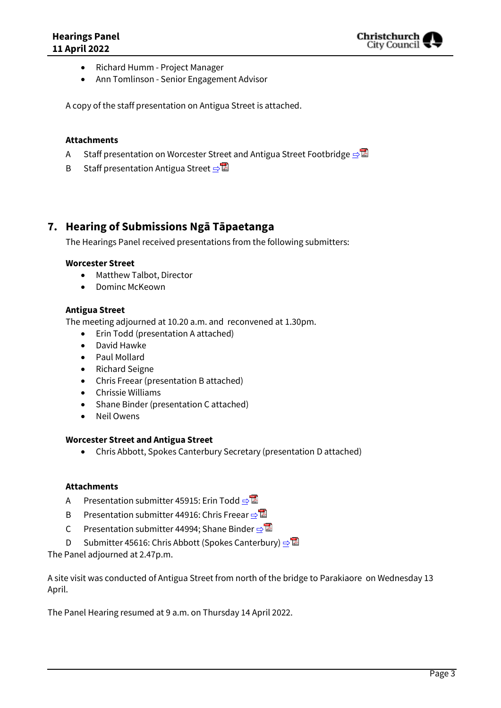- Richard Humm Project Manager
- Ann Tomlinson Senior Engagement Advisor

A copy of the staff presentation on Antigua Street is attached.

#### **Attachments**

- A Staff presentation on Worcester Street and Antigua Street Footbridge **[⇨](../../../RedirectToInvalidFileName.aspx?FileName=BLHP_20220411_MAT_7840.PDF#PAGE=3)</u>**
- B Staff presentation Antigua Street  $\n <sup>B</sup>$

## **7. Hearing of Submissions Ngā Tāpaetanga**

The Hearings Panel received presentations from the following submitters:

#### **Worcester Street**

- Matthew Talbot, Director
- Dominc McKeown

#### **Antigua Street**

The meeting adjourned at 10.20 a.m. and reconvened at 1.30pm.

- Erin Todd (presentation A attached)
- David Hawke
- Paul Mollard
- Richard Seigne
- Chris Freear (presentation B attached)
- Chrissie Williams
- Shane Binder (presentation C attached)
- Neil Owens

#### **Worcester Street and Antigua Street**

Chris Abbott, Spokes Canterbury Secretary (presentation D attached)

#### **Attachments**

- A Presentation submitter 45915: Erin Todd **[⇨](../../../RedirectToInvalidFileName.aspx?FileName=BLHP_20220411_MAT_7840.PDF#PAGE=18)**
- B Presentation submitter 44916: Chris Freear [⇨](../../../RedirectToInvalidFileName.aspx?FileName=BLHP_20220411_MAT_7840.PDF#PAGE=28)
- C Presentation submitter 44994; Shane Binder ⇒
- D Submitter 45616: Chris Abbott (Spokes Canterbury) **□**

The Panel adjourned at 2.47p.m.

A site visit was conducted of Antigua Street from north of the bridge to Parakiaore on Wednesday 13 April.

The Panel Hearing resumed at 9 a.m. on Thursday 14 April 2022.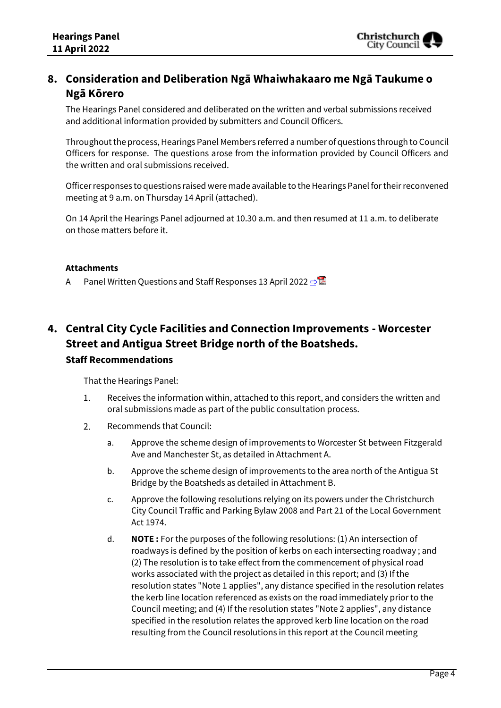## **8. Consideration and Deliberation Ngā Whaiwhakaaro me Ngā Taukume o Ngā Kōrero**

The Hearings Panel considered and deliberated on the written and verbal submissions received and additional information provided by submitters and Council Officers.

Throughout the process, Hearings Panel Members referred a number of questions through to Council Officers for response. The questions arose from the information provided by Council Officers and the written and oral submissions received.

Officer responses to questions raised weremade available to the Hearings Panel for their reconvened meeting at 9 a.m. on Thursday 14 April (attached).

On 14 April the Hearings Panel adjourned at 10.30 a.m. and then resumed at 11 a.m. to deliberate on those matters before it.

#### **Attachments**

A Panel Written Questions and Staff Responses 13 April 2022 ⇒

## **4. Central City Cycle Facilities and Connection Improvements - Worcester Street and Antigua Street Bridge north of the Boatsheds. Staff Recommendations**

That the Hearings Panel:

- 1. Receives the information within, attached to this report, and considers the written and oral submissions made as part of the public consultation process.
- 2. Recommends that Council:
	- a. Approve the scheme design of improvements to Worcester St between Fitzgerald Ave and Manchester St, as detailed in Attachment A.
	- b. Approve the scheme design of improvements to the area north of the Antigua St Bridge by the Boatsheds as detailed in Attachment B.
	- c. Approve the following resolutions relying on its powers under the Christchurch City Council Traffic and Parking Bylaw 2008 and Part 21 of the Local Government Act 1974.
	- d. **NOTE :** For the purposes of the following resolutions: (1) An intersection of roadways is defined by the position of kerbs on each intersecting roadway ; and (2) The resolution is to take effect from the commencement of physical road works associated with the project as detailed in this report; and (3) If the resolution states "Note 1 applies", any distance specified in the resolution relates the kerb line location referenced as exists on the road immediately prior to the Council meeting; and (4) If the resolution states "Note 2 applies", any distance specified in the resolution relates the approved kerb line location on the road resulting from the Council resolutions in this report at the Council meeting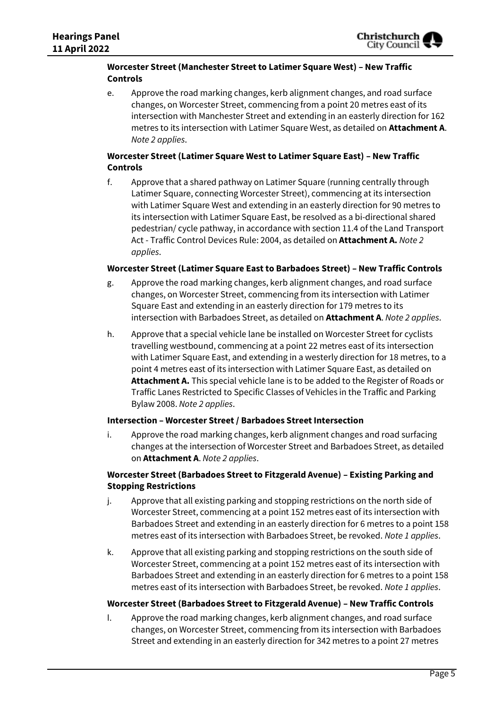#### **Worcester Street (Manchester Street to Latimer Square West) – New Traffic Controls**

e. Approve the road marking changes, kerb alignment changes, and road surface changes, on Worcester Street, commencing from a point 20 metres east of its intersection with Manchester Street and extending in an easterly direction for 162 metres to its intersection with Latimer Square West, as detailed on **Attachment A**. *Note 2 applies*.

### **Worcester Street (Latimer Square West to Latimer Square East) – New Traffic Controls**

f. Approve that a shared pathway on Latimer Square (running centrally through Latimer Square, connecting Worcester Street), commencing at its intersection with Latimer Square West and extending in an easterly direction for 90 metres to its intersection with Latimer Square East, be resolved as a bi-directional shared pedestrian/ cycle pathway, in accordance with section 11.4 of the Land Transport Act - Traffic Control Devices Rule: 2004, as detailed on **Attachment A.** *Note 2 applies*.

#### **Worcester Street (Latimer Square East to Barbadoes Street) – New Traffic Controls**

- g. Approve the road marking changes, kerb alignment changes, and road surface changes, on Worcester Street, commencing from its intersection with Latimer Square East and extending in an easterly direction for 179 metres to its intersection with Barbadoes Street, as detailed on **Attachment A**. *Note 2 applies*.
- h. Approve that a special vehicle lane be installed on Worcester Street for cyclists travelling westbound, commencing at a point 22 metres east of its intersection with Latimer Square East, and extending in a westerly direction for 18 metres, to a point 4 metres east of its intersection with Latimer Square East, as detailed on **Attachment A.** This special vehicle lane is to be added to the Register of Roads or Traffic Lanes Restricted to Specific Classes of Vehicles in the Traffic and Parking Bylaw 2008. *Note 2 applies*.

#### **Intersection – Worcester Street / Barbadoes Street Intersection**

i. Approve the road marking changes, kerb alignment changes and road surfacing changes at the intersection of Worcester Street and Barbadoes Street, as detailed on **Attachment A**. *Note 2 applies*.

### **Worcester Street (Barbadoes Street to Fitzgerald Avenue) – Existing Parking and Stopping Restrictions**

- j. Approve that all existing parking and stopping restrictions on the north side of Worcester Street, commencing at a point 152 metres east of its intersection with Barbadoes Street and extending in an easterly direction for 6 metres to a point 158 metres east of its intersection with Barbadoes Street, be revoked. *Note 1 applies*.
- k. Approve that all existing parking and stopping restrictions on the south side of Worcester Street, commencing at a point 152 metres east of its intersection with Barbadoes Street and extending in an easterly direction for 6 metres to a point 158 metres east of its intersection with Barbadoes Street, be revoked. *Note 1 applies*.

#### **Worcester Street (Barbadoes Street to Fitzgerald Avenue) – New Traffic Controls**

l. Approve the road marking changes, kerb alignment changes, and road surface changes, on Worcester Street, commencing from its intersection with Barbadoes Street and extending in an easterly direction for 342 metres to a point 27 metres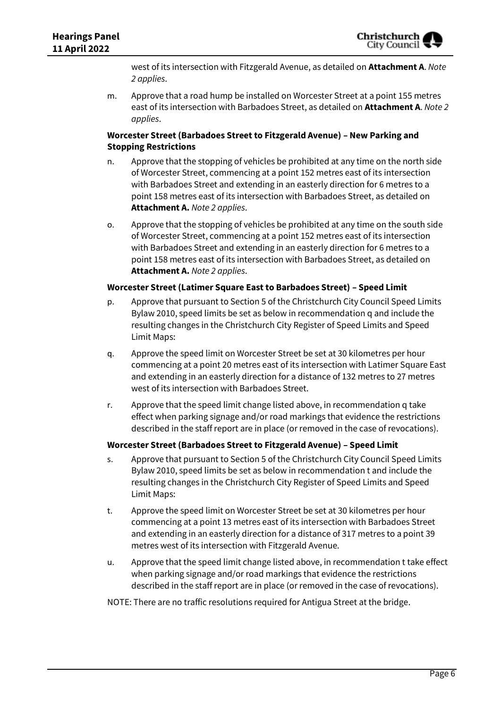west of its intersection with Fitzgerald Avenue, as detailed on **Attachment A**. *Note 2 applies*.

m. Approve that a road hump be installed on Worcester Street at a point 155 metres east of its intersection with Barbadoes Street, as detailed on **Attachment A**. *Note 2 applies*.

#### **Worcester Street (Barbadoes Street to Fitzgerald Avenue) – New Parking and Stopping Restrictions**

- n. Approve that the stopping of vehicles be prohibited at any time on the north side of Worcester Street, commencing at a point 152 metres east of its intersection with Barbadoes Street and extending in an easterly direction for 6 metres to a point 158 metres east of its intersection with Barbadoes Street, as detailed on **Attachment A.** *Note 2 applies*.
- o. Approve that the stopping of vehicles be prohibited at any time on the south side of Worcester Street, commencing at a point 152 metres east of its intersection with Barbadoes Street and extending in an easterly direction for 6 metres to a point 158 metres east of its intersection with Barbadoes Street, as detailed on **Attachment A.** *Note 2 applies*.

#### **Worcester Street (Latimer Square East to Barbadoes Street) – Speed Limit**

- p. Approve that pursuant to Section 5 of the Christchurch City Council Speed Limits Bylaw 2010, speed limits be set as below in recommendation q and include the resulting changes in the Christchurch City Register of Speed Limits and Speed Limit Maps:
- q. Approve the speed limit on Worcester Street be set at 30 kilometres per hour commencing at a point 20 metres east of its intersection with Latimer Square East and extending in an easterly direction for a distance of 132 metres to 27 metres west of its intersection with Barbadoes Street.
- r. Approve that the speed limit change listed above, in recommendation q take effect when parking signage and/or road markings that evidence the restrictions described in the staff report are in place (or removed in the case of revocations).

#### **Worcester Street (Barbadoes Street to Fitzgerald Avenue) – Speed Limit**

- s. Approve that pursuant to Section 5 of the Christchurch City Council Speed Limits Bylaw 2010, speed limits be set as below in recommendation t and include the resulting changes in the Christchurch City Register of Speed Limits and Speed Limit Maps:
- t. Approve the speed limit on Worcester Street be set at 30 kilometres per hour commencing at a point 13 metres east of its intersection with Barbadoes Street and extending in an easterly direction for a distance of 317 metres to a point 39 metres west of its intersection with Fitzgerald Avenue.
- u. Approve that the speed limit change listed above, in recommendation t take effect when parking signage and/or road markings that evidence the restrictions described in the staff report are in place (or removed in the case of revocations).

#### NOTE: There are no traffic resolutions required for Antigua Street at the bridge.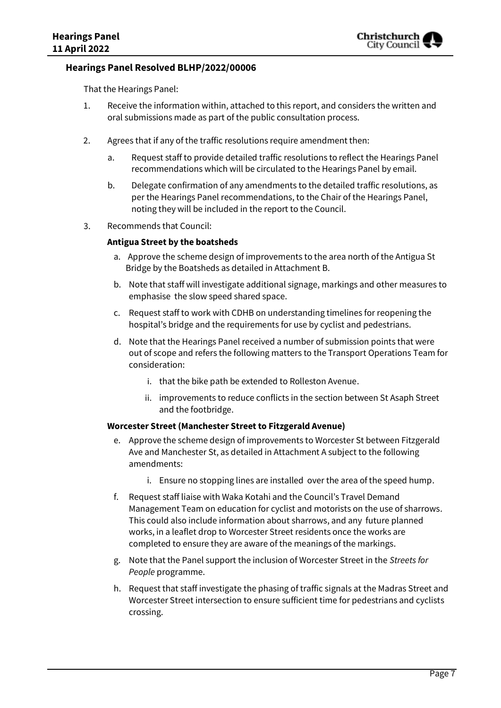#### **Hearings Panel Resolved BLHP/2022/00006**

That the Hearings Panel:

- 1. Receive the information within, attached to this report, and considers the written and oral submissions made as part of the public consultation process.
- 2. Agrees that if any of the traffic resolutions require amendment then:
	- a. Request staff to provide detailed traffic resolutions to reflect the Hearings Panel recommendations which will be circulated to the Hearings Panel by email.
	- b. Delegate confirmation of any amendments to the detailed traffic resolutions, as per the Hearings Panel recommendations, to the Chair of the Hearings Panel, noting they will be included in the report to the Council.
- 3. Recommends that Council:

#### **Antigua Street by the boatsheds**

- a. Approve the scheme design of improvements to the area north of the Antigua St Bridge by the Boatsheds as detailed in Attachment B.
- b. Note that staff will investigate additional signage, markings and other measures to emphasise the slow speed shared space.
- c. Request staff to work with CDHB on understanding timelines for reopening the hospital's bridge and the requirements for use by cyclist and pedestrians.
- d. Note that the Hearings Panel received a number of submission points that were out of scope and refers the following matters to the Transport Operations Team for consideration:
	- i. that the bike path be extended to Rolleston Avenue.
	- ii. improvements to reduce conflicts in the section between St Asaph Street and the footbridge.

#### **Worcester Street (Manchester Street to Fitzgerald Avenue)**

- e. Approve the scheme design of improvements to Worcester St between Fitzgerald Ave and Manchester St, as detailed in Attachment A subject to the following amendments:
	- i. Ensure no stopping lines are installed over the area of the speed hump.
- f. Request staff liaise with Waka Kotahi and the Council's Travel Demand Management Team on education for cyclist and motorists on the use of sharrows. This could also include information about sharrows, and any future planned works, in a leaflet drop to Worcester Street residents once the works are completed to ensure they are aware of the meanings of the markings.
- g. Note that the Panel support the inclusion of Worcester Street in the *Streets for People* programme.
- h. Request that staff investigate the phasing of traffic signals at the Madras Street and Worcester Street intersection to ensure sufficient time for pedestrians and cyclists crossing.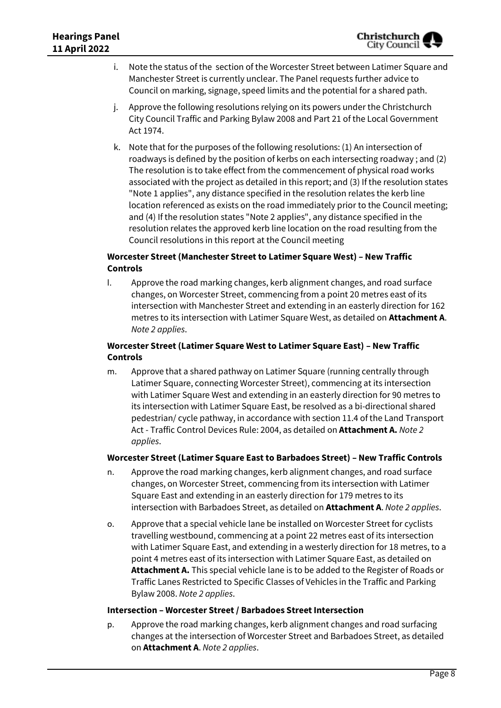- i. Note the status of the section of the Worcester Street between Latimer Square and Manchester Street is currently unclear. The Panel requests further advice to Council on marking, signage, speed limits and the potential for a shared path.
- j. Approve the following resolutions relying on its powers under the Christchurch City Council Traffic and Parking Bylaw 2008 and Part 21 of the Local Government Act 1974.
- k. Note that for the purposes of the following resolutions: (1) An intersection of roadways is defined by the position of kerbs on each intersecting roadway ; and (2) The resolution is to take effect from the commencement of physical road works associated with the project as detailed in this report; and (3) If the resolution states "Note 1 applies", any distance specified in the resolution relates the kerb line location referenced as exists on the road immediately prior to the Council meeting; and (4) If the resolution states "Note 2 applies", any distance specified in the resolution relates the approved kerb line location on the road resulting from the Council resolutions in this report at the Council meeting

### **Worcester Street (Manchester Street to Latimer Square West) – New Traffic Controls**

l. Approve the road marking changes, kerb alignment changes, and road surface changes, on Worcester Street, commencing from a point 20 metres east of its intersection with Manchester Street and extending in an easterly direction for 162 metres to its intersection with Latimer Square West, as detailed on **Attachment A**. *Note 2 applies*.

### **Worcester Street (Latimer Square West to Latimer Square East) – New Traffic Controls**

m. Approve that a shared pathway on Latimer Square (running centrally through Latimer Square, connecting Worcester Street), commencing at its intersection with Latimer Square West and extending in an easterly direction for 90 metres to its intersection with Latimer Square East, be resolved as a bi-directional shared pedestrian/ cycle pathway, in accordance with section 11.4 of the Land Transport Act - Traffic Control Devices Rule: 2004, as detailed on **Attachment A.** *Note 2 applies*.

### **Worcester Street (Latimer Square East to Barbadoes Street) – New Traffic Controls**

- n. Approve the road marking changes, kerb alignment changes, and road surface changes, on Worcester Street, commencing from its intersection with Latimer Square East and extending in an easterly direction for 179 metres to its intersection with Barbadoes Street, as detailed on **Attachment A**. *Note 2 applies*.
- o. Approve that a special vehicle lane be installed on Worcester Street for cyclists travelling westbound, commencing at a point 22 metres east of its intersection with Latimer Square East, and extending in a westerly direction for 18 metres, to a point 4 metres east of its intersection with Latimer Square East, as detailed on **Attachment A.** This special vehicle lane is to be added to the Register of Roads or Traffic Lanes Restricted to Specific Classes of Vehicles in the Traffic and Parking Bylaw 2008. *Note 2 applies*.

#### **Intersection – Worcester Street / Barbadoes Street Intersection**

p. Approve the road marking changes, kerb alignment changes and road surfacing changes at the intersection of Worcester Street and Barbadoes Street, as detailed on **Attachment A**. *Note 2 applies*.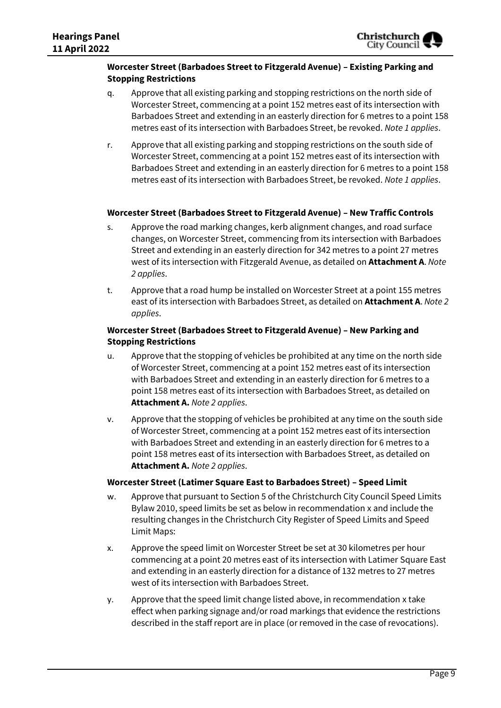#### **Worcester Street (Barbadoes Street to Fitzgerald Avenue) – Existing Parking and Stopping Restrictions**

- q. Approve that all existing parking and stopping restrictions on the north side of Worcester Street, commencing at a point 152 metres east of its intersection with Barbadoes Street and extending in an easterly direction for 6 metres to a point 158 metres east of its intersection with Barbadoes Street, be revoked. *Note 1 applies*.
- r. Approve that all existing parking and stopping restrictions on the south side of Worcester Street, commencing at a point 152 metres east of its intersection with Barbadoes Street and extending in an easterly direction for 6 metres to a point 158 metres east of its intersection with Barbadoes Street, be revoked. *Note 1 applies*.

#### **Worcester Street (Barbadoes Street to Fitzgerald Avenue) – New Traffic Controls**

- s. Approve the road marking changes, kerb alignment changes, and road surface changes, on Worcester Street, commencing from its intersection with Barbadoes Street and extending in an easterly direction for 342 metres to a point 27 metres west of its intersection with Fitzgerald Avenue, as detailed on **Attachment A**. *Note 2 applies*.
- t. Approve that a road hump be installed on Worcester Street at a point 155 metres east of its intersection with Barbadoes Street, as detailed on **Attachment A**. *Note 2 applies*.

#### **Worcester Street (Barbadoes Street to Fitzgerald Avenue) – New Parking and Stopping Restrictions**

- u. Approve that the stopping of vehicles be prohibited at any time on the north side of Worcester Street, commencing at a point 152 metres east of its intersection with Barbadoes Street and extending in an easterly direction for 6 metres to a point 158 metres east of its intersection with Barbadoes Street, as detailed on **Attachment A.** *Note 2 applies*.
- v. Approve that the stopping of vehicles be prohibited at any time on the south side of Worcester Street, commencing at a point 152 metres east of its intersection with Barbadoes Street and extending in an easterly direction for 6 metres to a point 158 metres east of its intersection with Barbadoes Street, as detailed on **Attachment A.** *Note 2 applies*.

#### **Worcester Street (Latimer Square East to Barbadoes Street) – Speed Limit**

- w. Approve that pursuant to Section 5 of the Christchurch City Council Speed Limits Bylaw 2010, speed limits be set as below in recommendation x and include the resulting changes in the Christchurch City Register of Speed Limits and Speed Limit Maps:
- x. Approve the speed limit on Worcester Street be set at 30 kilometres per hour commencing at a point 20 metres east of its intersection with Latimer Square East and extending in an easterly direction for a distance of 132 metres to 27 metres west of its intersection with Barbadoes Street.
- y. Approve that the speed limit change listed above, in recommendation x take effect when parking signage and/or road markings that evidence the restrictions described in the staff report are in place (or removed in the case of revocations).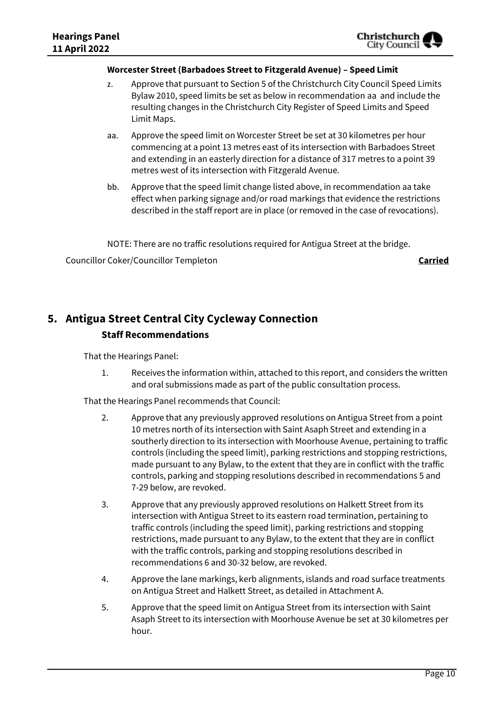#### **Worcester Street (Barbadoes Street to Fitzgerald Avenue) – Speed Limit**

- z. Approve that pursuant to Section 5 of the Christchurch City Council Speed Limits Bylaw 2010, speed limits be set as below in recommendation aa and include the resulting changes in the Christchurch City Register of Speed Limits and Speed Limit Maps.
- aa. Approve the speed limit on Worcester Street be set at 30 kilometres per hour commencing at a point 13 metres east of its intersection with Barbadoes Street and extending in an easterly direction for a distance of 317 metres to a point 39 metres west of its intersection with Fitzgerald Avenue.
- bb. Approve that the speed limit change listed above, in recommendation aa take effect when parking signage and/or road markings that evidence the restrictions described in the staff report are in place (or removed in the case of revocations).

NOTE: There are no traffic resolutions required for Antigua Street at the bridge.

Councillor Coker/Councillor Templeton **Carried**

## **5. Antigua Street Central City Cycleway Connection Staff Recommendations**

That the Hearings Panel:

1. Receives the information within, attached to this report, and considers the written and oral submissions made as part of the public consultation process.

That the Hearings Panel recommends that Council:

- 2. Approve that any previously approved resolutions on Antigua Street from a point 10 metres north of its intersection with Saint Asaph Street and extending in a southerly direction to its intersection with Moorhouse Avenue, pertaining to traffic controls (including the speed limit), parking restrictions and stopping restrictions, made pursuant to any Bylaw, to the extent that they are in conflict with the traffic controls, parking and stopping resolutions described in recommendations 5 and 7-29 below, are revoked.
- 3. Approve that any previously approved resolutions on Halkett Street from its intersection with Antigua Street to its eastern road termination, pertaining to traffic controls (including the speed limit), parking restrictions and stopping restrictions, made pursuant to any Bylaw, to the extent that they are in conflict with the traffic controls, parking and stopping resolutions described in recommendations 6 and 30-32 below, are revoked.
- 4. Approve the lane markings, kerb alignments, islands and road surface treatments on Antigua Street and Halkett Street, as detailed in Attachment A.
- 5. Approve that the speed limit on Antigua Street from its intersection with Saint Asaph Street to its intersection with Moorhouse Avenue be set at 30 kilometres per hour.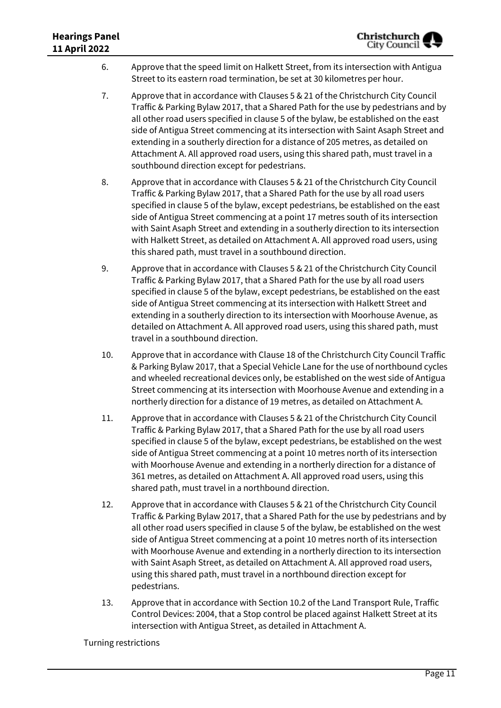- 6. Approve that the speed limit on Halkett Street, from its intersection with Antigua Street to its eastern road termination, be set at 30 kilometres per hour.
- 7. Approve that in accordance with Clauses 5 & 21 of the Christchurch City Council Traffic & Parking Bylaw 2017, that a Shared Path for the use by pedestrians and by all other road users specified in clause 5 of the bylaw, be established on the east side of Antigua Street commencing at its intersection with Saint Asaph Street and extending in a southerly direction for a distance of 205 metres, as detailed on Attachment A. All approved road users, using this shared path, must travel in a southbound direction except for pedestrians.
- 8. Approve that in accordance with Clauses 5 & 21 of the Christchurch City Council Traffic & Parking Bylaw 2017, that a Shared Path for the use by all road users specified in clause 5 of the bylaw, except pedestrians, be established on the east side of Antigua Street commencing at a point 17 metres south of its intersection with Saint Asaph Street and extending in a southerly direction to its intersection with Halkett Street, as detailed on Attachment A. All approved road users, using this shared path, must travel in a southbound direction.
- 9. Approve that in accordance with Clauses 5 & 21 of the Christchurch City Council Traffic & Parking Bylaw 2017, that a Shared Path for the use by all road users specified in clause 5 of the bylaw, except pedestrians, be established on the east side of Antigua Street commencing at its intersection with Halkett Street and extending in a southerly direction to its intersection with Moorhouse Avenue, as detailed on Attachment A. All approved road users, using this shared path, must travel in a southbound direction.
- 10. Approve that in accordance with Clause 18 of the Christchurch City Council Traffic & Parking Bylaw 2017, that a Special Vehicle Lane for the use of northbound cycles and wheeled recreational devices only, be established on the west side of Antigua Street commencing at its intersection with Moorhouse Avenue and extending in a northerly direction for a distance of 19 metres, as detailed on Attachment A.
- 11. Approve that in accordance with Clauses 5 & 21 of the Christchurch City Council Traffic & Parking Bylaw 2017, that a Shared Path for the use by all road users specified in clause 5 of the bylaw, except pedestrians, be established on the west side of Antigua Street commencing at a point 10 metres north of its intersection with Moorhouse Avenue and extending in a northerly direction for a distance of 361 metres, as detailed on Attachment A. All approved road users, using this shared path, must travel in a northbound direction.
- 12. Approve that in accordance with Clauses 5 & 21 of the Christchurch City Council Traffic & Parking Bylaw 2017, that a Shared Path for the use by pedestrians and by all other road users specified in clause 5 of the bylaw, be established on the west side of Antigua Street commencing at a point 10 metres north of its intersection with Moorhouse Avenue and extending in a northerly direction to its intersection with Saint Asaph Street, as detailed on Attachment A. All approved road users, using this shared path, must travel in a northbound direction except for pedestrians.
- 13. Approve that in accordance with Section 10.2 of the Land Transport Rule, Traffic Control Devices: 2004, that a Stop control be placed against Halkett Street at its intersection with Antigua Street, as detailed in Attachment A.

Turning restrictions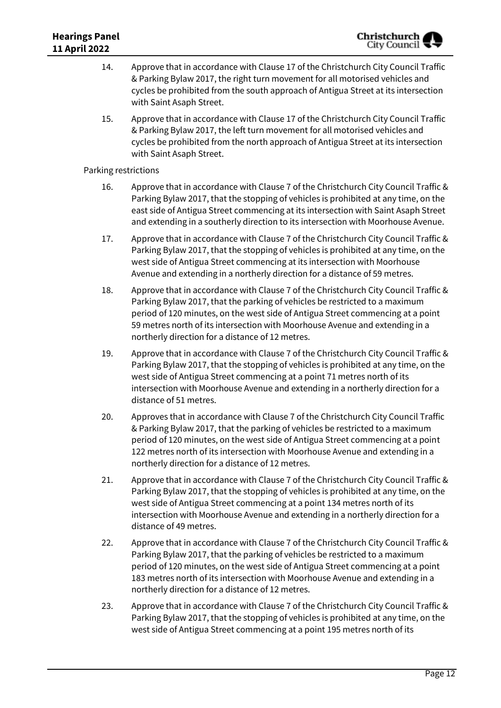- 14. Approve that in accordance with Clause 17 of the Christchurch City Council Traffic & Parking Bylaw 2017, the right turn movement for all motorised vehicles and cycles be prohibited from the south approach of Antigua Street at its intersection with Saint Asaph Street.
- 15. Approve that in accordance with Clause 17 of the Christchurch City Council Traffic & Parking Bylaw 2017, the left turn movement for all motorised vehicles and cycles be prohibited from the north approach of Antigua Street at its intersection with Saint Asaph Street.

Parking restrictions

- 16. Approve that in accordance with Clause 7 of the Christchurch City Council Traffic & Parking Bylaw 2017, that the stopping of vehicles is prohibited at any time, on the east side of Antigua Street commencing at its intersection with Saint Asaph Street and extending in a southerly direction to its intersection with Moorhouse Avenue.
- 17. Approve that in accordance with Clause 7 of the Christchurch City Council Traffic & Parking Bylaw 2017, that the stopping of vehicles is prohibited at any time, on the west side of Antigua Street commencing at its intersection with Moorhouse Avenue and extending in a northerly direction for a distance of 59 metres.
- 18. Approve that in accordance with Clause 7 of the Christchurch City Council Traffic & Parking Bylaw 2017, that the parking of vehicles be restricted to a maximum period of 120 minutes, on the west side of Antigua Street commencing at a point 59 metres north of its intersection with Moorhouse Avenue and extending in a northerly direction for a distance of 12 metres.
- 19. Approve that in accordance with Clause 7 of the Christchurch City Council Traffic & Parking Bylaw 2017, that the stopping of vehicles is prohibited at any time, on the west side of Antigua Street commencing at a point 71 metres north of its intersection with Moorhouse Avenue and extending in a northerly direction for a distance of 51 metres.
- 20. Approves that in accordance with Clause 7 of the Christchurch City Council Traffic & Parking Bylaw 2017, that the parking of vehicles be restricted to a maximum period of 120 minutes, on the west side of Antigua Street commencing at a point 122 metres north of its intersection with Moorhouse Avenue and extending in a northerly direction for a distance of 12 metres.
- 21. Approve that in accordance with Clause 7 of the Christchurch City Council Traffic & Parking Bylaw 2017, that the stopping of vehicles is prohibited at any time, on the west side of Antigua Street commencing at a point 134 metres north of its intersection with Moorhouse Avenue and extending in a northerly direction for a distance of 49 metres.
- 22. Approve that in accordance with Clause 7 of the Christchurch City Council Traffic & Parking Bylaw 2017, that the parking of vehicles be restricted to a maximum period of 120 minutes, on the west side of Antigua Street commencing at a point 183 metres north of its intersection with Moorhouse Avenue and extending in a northerly direction for a distance of 12 metres.
- 23. Approve that in accordance with Clause 7 of the Christchurch City Council Traffic & Parking Bylaw 2017, that the stopping of vehicles is prohibited at any time, on the west side of Antigua Street commencing at a point 195 metres north of its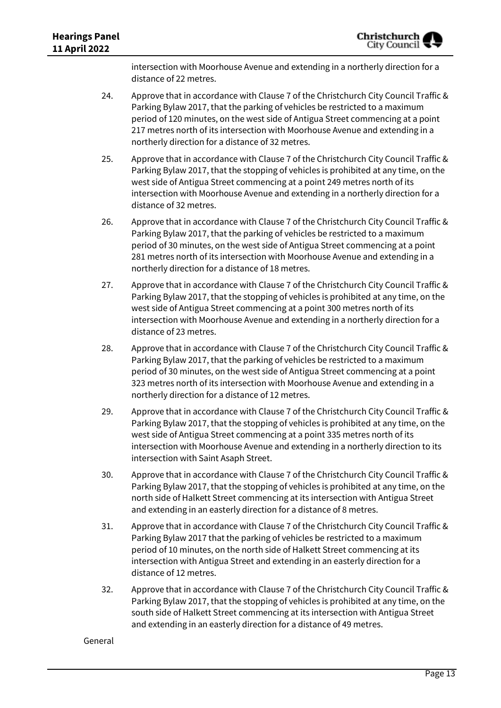intersection with Moorhouse Avenue and extending in a northerly direction for a distance of 22 metres.

- 24. Approve that in accordance with Clause 7 of the Christchurch City Council Traffic & Parking Bylaw 2017, that the parking of vehicles be restricted to a maximum period of 120 minutes, on the west side of Antigua Street commencing at a point 217 metres north of its intersection with Moorhouse Avenue and extending in a northerly direction for a distance of 32 metres.
- 25. Approve that in accordance with Clause 7 of the Christchurch City Council Traffic & Parking Bylaw 2017, that the stopping of vehicles is prohibited at any time, on the west side of Antigua Street commencing at a point 249 metres north of its intersection with Moorhouse Avenue and extending in a northerly direction for a distance of 32 metres.
- 26. Approve that in accordance with Clause 7 of the Christchurch City Council Traffic & Parking Bylaw 2017, that the parking of vehicles be restricted to a maximum period of 30 minutes, on the west side of Antigua Street commencing at a point 281 metres north of its intersection with Moorhouse Avenue and extending in a northerly direction for a distance of 18 metres.
- 27. Approve that in accordance with Clause 7 of the Christchurch City Council Traffic & Parking Bylaw 2017, that the stopping of vehicles is prohibited at any time, on the west side of Antigua Street commencing at a point 300 metres north of its intersection with Moorhouse Avenue and extending in a northerly direction for a distance of 23 metres.
- 28. Approve that in accordance with Clause 7 of the Christchurch City Council Traffic & Parking Bylaw 2017, that the parking of vehicles be restricted to a maximum period of 30 minutes, on the west side of Antigua Street commencing at a point 323 metres north of its intersection with Moorhouse Avenue and extending in a northerly direction for a distance of 12 metres.
- 29. Approve that in accordance with Clause 7 of the Christchurch City Council Traffic & Parking Bylaw 2017, that the stopping of vehicles is prohibited at any time, on the west side of Antigua Street commencing at a point 335 metres north of its intersection with Moorhouse Avenue and extending in a northerly direction to its intersection with Saint Asaph Street.
- 30. Approve that in accordance with Clause 7 of the Christchurch City Council Traffic & Parking Bylaw 2017, that the stopping of vehicles is prohibited at any time, on the north side of Halkett Street commencing at its intersection with Antigua Street and extending in an easterly direction for a distance of 8 metres.
- 31. Approve that in accordance with Clause 7 of the Christchurch City Council Traffic & Parking Bylaw 2017 that the parking of vehicles be restricted to a maximum period of 10 minutes, on the north side of Halkett Street commencing at its intersection with Antigua Street and extending in an easterly direction for a distance of 12 metres.
- 32. Approve that in accordance with Clause 7 of the Christchurch City Council Traffic & Parking Bylaw 2017, that the stopping of vehicles is prohibited at any time, on the south side of Halkett Street commencing at its intersection with Antigua Street and extending in an easterly direction for a distance of 49 metres.

#### General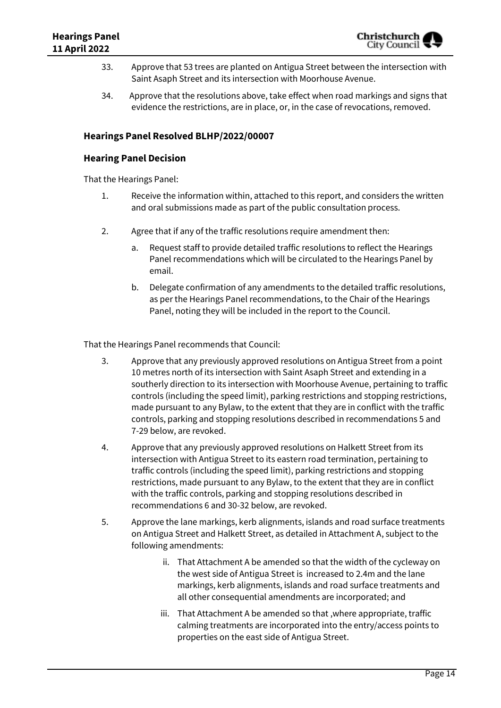- 33. Approve that 53 trees are planted on Antigua Street between the intersection with Saint Asaph Street and its intersection with Moorhouse Avenue.
- 34. Approve that the resolutions above, take effect when road markings and signs that evidence the restrictions, are in place, or, in the case of revocations, removed.

### **Hearings Panel Resolved BLHP/2022/00007**

#### **Hearing Panel Decision**

That the Hearings Panel:

- 1. Receive the information within, attached to this report, and considers the written and oral submissions made as part of the public consultation process.
- 2. Agree that if any of the traffic resolutions require amendment then:
	- a. Request staff to provide detailed traffic resolutions to reflect the Hearings Panel recommendations which will be circulated to the Hearings Panel by email.
	- b. Delegate confirmation of any amendments to the detailed traffic resolutions, as per the Hearings Panel recommendations, to the Chair of the Hearings Panel, noting they will be included in the report to the Council.

That the Hearings Panel recommends that Council:

- 3. Approve that any previously approved resolutions on Antigua Street from a point 10 metres north of its intersection with Saint Asaph Street and extending in a southerly direction to its intersection with Moorhouse Avenue, pertaining to traffic controls (including the speed limit), parking restrictions and stopping restrictions, made pursuant to any Bylaw, to the extent that they are in conflict with the traffic controls, parking and stopping resolutions described in recommendations 5 and 7-29 below, are revoked.
- 4. Approve that any previously approved resolutions on Halkett Street from its intersection with Antigua Street to its eastern road termination, pertaining to traffic controls (including the speed limit), parking restrictions and stopping restrictions, made pursuant to any Bylaw, to the extent that they are in conflict with the traffic controls, parking and stopping resolutions described in recommendations 6 and 30-32 below, are revoked.
- 5. Approve the lane markings, kerb alignments, islands and road surface treatments on Antigua Street and Halkett Street, as detailed in Attachment A, subject to the following amendments:
	- ii. That Attachment A be amended so that the width of the cycleway on the west side of Antigua Street is increased to 2.4m and the lane markings, kerb alignments, islands and road surface treatments and all other consequential amendments are incorporated; and
	- iii. That Attachment A be amended so that ,where appropriate, traffic calming treatments are incorporated into the entry/access points to properties on the east side of Antigua Street.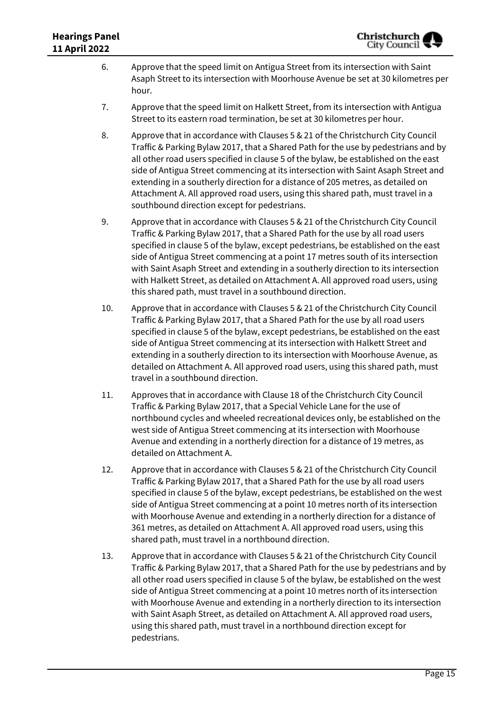- 6. Approve that the speed limit on Antigua Street from its intersection with Saint Asaph Street to its intersection with Moorhouse Avenue be set at 30 kilometres per hour.
- 7. Approve that the speed limit on Halkett Street, from its intersection with Antigua Street to its eastern road termination, be set at 30 kilometres per hour.
- 8. Approve that in accordance with Clauses 5 & 21 of the Christchurch City Council Traffic & Parking Bylaw 2017, that a Shared Path for the use by pedestrians and by all other road users specified in clause 5 of the bylaw, be established on the east side of Antigua Street commencing at its intersection with Saint Asaph Street and extending in a southerly direction for a distance of 205 metres, as detailed on Attachment A. All approved road users, using this shared path, must travel in a southbound direction except for pedestrians.
- 9. Approve that in accordance with Clauses 5 & 21 of the Christchurch City Council Traffic & Parking Bylaw 2017, that a Shared Path for the use by all road users specified in clause 5 of the bylaw, except pedestrians, be established on the east side of Antigua Street commencing at a point 17 metres south of its intersection with Saint Asaph Street and extending in a southerly direction to its intersection with Halkett Street, as detailed on Attachment A. All approved road users, using this shared path, must travel in a southbound direction.
- 10. Approve that in accordance with Clauses 5 & 21 of the Christchurch City Council Traffic & Parking Bylaw 2017, that a Shared Path for the use by all road users specified in clause 5 of the bylaw, except pedestrians, be established on the east side of Antigua Street commencing at its intersection with Halkett Street and extending in a southerly direction to its intersection with Moorhouse Avenue, as detailed on Attachment A. All approved road users, using this shared path, must travel in a southbound direction.
- 11. Approves that in accordance with Clause 18 of the Christchurch City Council Traffic & Parking Bylaw 2017, that a Special Vehicle Lane for the use of northbound cycles and wheeled recreational devices only, be established on the west side of Antigua Street commencing at its intersection with Moorhouse Avenue and extending in a northerly direction for a distance of 19 metres, as detailed on Attachment A.
- 12. Approve that in accordance with Clauses 5 & 21 of the Christchurch City Council Traffic & Parking Bylaw 2017, that a Shared Path for the use by all road users specified in clause 5 of the bylaw, except pedestrians, be established on the west side of Antigua Street commencing at a point 10 metres north of its intersection with Moorhouse Avenue and extending in a northerly direction for a distance of 361 metres, as detailed on Attachment A. All approved road users, using this shared path, must travel in a northbound direction.
- 13. Approve that in accordance with Clauses 5 & 21 of the Christchurch City Council Traffic & Parking Bylaw 2017, that a Shared Path for the use by pedestrians and by all other road users specified in clause 5 of the bylaw, be established on the west side of Antigua Street commencing at a point 10 metres north of its intersection with Moorhouse Avenue and extending in a northerly direction to its intersection with Saint Asaph Street, as detailed on Attachment A. All approved road users, using this shared path, must travel in a northbound direction except for pedestrians.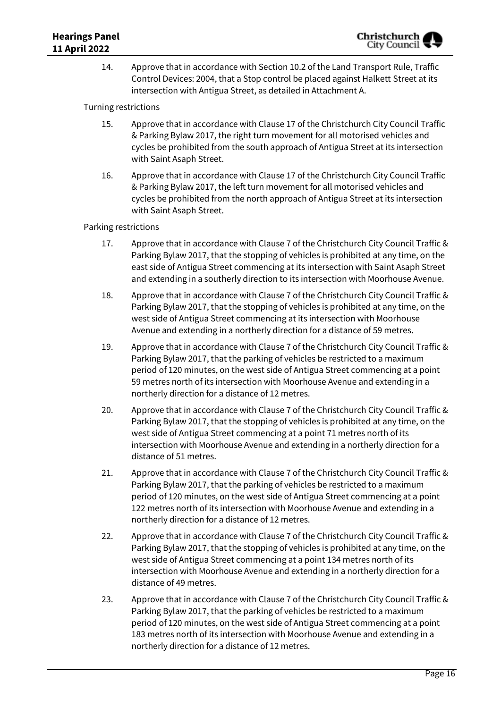14. Approve that in accordance with Section 10.2 of the Land Transport Rule, Traffic Control Devices: 2004, that a Stop control be placed against Halkett Street at its intersection with Antigua Street, as detailed in Attachment A.

Turning restrictions

- 15. Approve that in accordance with Clause 17 of the Christchurch City Council Traffic & Parking Bylaw 2017, the right turn movement for all motorised vehicles and cycles be prohibited from the south approach of Antigua Street at its intersection with Saint Asaph Street.
- 16. Approve that in accordance with Clause 17 of the Christchurch City Council Traffic & Parking Bylaw 2017, the left turn movement for all motorised vehicles and cycles be prohibited from the north approach of Antigua Street at its intersection with Saint Asaph Street.

Parking restrictions

- 17. Approve that in accordance with Clause 7 of the Christchurch City Council Traffic & Parking Bylaw 2017, that the stopping of vehicles is prohibited at any time, on the east side of Antigua Street commencing at its intersection with Saint Asaph Street and extending in a southerly direction to its intersection with Moorhouse Avenue.
- 18. Approve that in accordance with Clause 7 of the Christchurch City Council Traffic & Parking Bylaw 2017, that the stopping of vehicles is prohibited at any time, on the west side of Antigua Street commencing at its intersection with Moorhouse Avenue and extending in a northerly direction for a distance of 59 metres.
- 19. Approve that in accordance with Clause 7 of the Christchurch City Council Traffic & Parking Bylaw 2017, that the parking of vehicles be restricted to a maximum period of 120 minutes, on the west side of Antigua Street commencing at a point 59 metres north of its intersection with Moorhouse Avenue and extending in a northerly direction for a distance of 12 metres.
- 20. Approve that in accordance with Clause 7 of the Christchurch City Council Traffic & Parking Bylaw 2017, that the stopping of vehicles is prohibited at any time, on the west side of Antigua Street commencing at a point 71 metres north of its intersection with Moorhouse Avenue and extending in a northerly direction for a distance of 51 metres.
- 21. Approve that in accordance with Clause 7 of the Christchurch City Council Traffic & Parking Bylaw 2017, that the parking of vehicles be restricted to a maximum period of 120 minutes, on the west side of Antigua Street commencing at a point 122 metres north of its intersection with Moorhouse Avenue and extending in a northerly direction for a distance of 12 metres.
- 22. Approve that in accordance with Clause 7 of the Christchurch City Council Traffic & Parking Bylaw 2017, that the stopping of vehicles is prohibited at any time, on the west side of Antigua Street commencing at a point 134 metres north of its intersection with Moorhouse Avenue and extending in a northerly direction for a distance of 49 metres.
- 23. Approve that in accordance with Clause 7 of the Christchurch City Council Traffic & Parking Bylaw 2017, that the parking of vehicles be restricted to a maximum period of 120 minutes, on the west side of Antigua Street commencing at a point 183 metres north of its intersection with Moorhouse Avenue and extending in a northerly direction for a distance of 12 metres.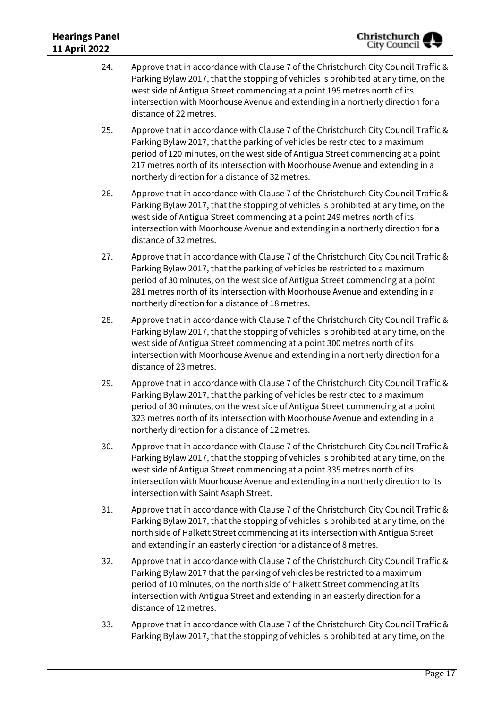- 24. Approve that in accordance with Clause 7 of the Christchurch City Council Traffic & Parking Bylaw 2017, that the stopping of vehicles is prohibited at any time, on the west side of Antigua Street commencing at a point 195 metres north of its intersection with Moorhouse Avenue and extending in a northerly direction for a distance of 22 metres.
- 25. Approve that in accordance with Clause 7 of the Christchurch City Council Traffic & Parking Bylaw 2017, that the parking of vehicles be restricted to a maximum period of 120 minutes, on the west side of Antigua Street commencing at a point 217 metres north of its intersection with Moorhouse Avenue and extending in a northerly direction for a distance of 32 metres.
- 26. Approve that in accordance with Clause 7 of the Christchurch City Council Traffic & Parking Bylaw 2017, that the stopping of vehicles is prohibited at any time, on the west side of Antigua Street commencing at a point 249 metres north of its intersection with Moorhouse Avenue and extending in a northerly direction for a distance of 32 metres.
- 27. Approve that in accordance with Clause 7 of the Christchurch City Council Traffic & Parking Bylaw 2017, that the parking of vehicles be restricted to a maximum period of 30 minutes, on the west side of Antigua Street commencing at a point 281 metres north of its intersection with Moorhouse Avenue and extending in a northerly direction for a distance of 18 metres.
- 28. Approve that in accordance with Clause 7 of the Christchurch City Council Traffic & Parking Bylaw 2017, that the stopping of vehicles is prohibited at any time, on the west side of Antigua Street commencing at a point 300 metres north of its intersection with Moorhouse Avenue and extending in a northerly direction for a distance of 23 metres.
- 29. Approve that in accordance with Clause 7 of the Christchurch City Council Traffic & Parking Bylaw 2017, that the parking of vehicles be restricted to a maximum period of 30 minutes, on the west side of Antigua Street commencing at a point 323 metres north of its intersection with Moorhouse Avenue and extending in a northerly direction for a distance of 12 metres.
- 30. Approve that in accordance with Clause 7 of the Christchurch City Council Traffic & Parking Bylaw 2017, that the stopping of vehicles is prohibited at any time, on the west side of Antigua Street commencing at a point 335 metres north of its intersection with Moorhouse Avenue and extending in a northerly direction to its intersection with Saint Asaph Street.
- 31. Approve that in accordance with Clause 7 of the Christchurch City Council Traffic & Parking Bylaw 2017, that the stopping of vehicles is prohibited at any time, on the north side of Halkett Street commencing at its intersection with Antigua Street and extending in an easterly direction for a distance of 8 metres.
- 32. Approve that in accordance with Clause 7 of the Christchurch City Council Traffic & Parking Bylaw 2017 that the parking of vehicles be restricted to a maximum period of 10 minutes, on the north side of Halkett Street commencing at its intersection with Antigua Street and extending in an easterly direction for a distance of 12 metres.
- 33. Approve that in accordance with Clause 7 of the Christchurch City Council Traffic & Parking Bylaw 2017, that the stopping of vehicles is prohibited at any time, on the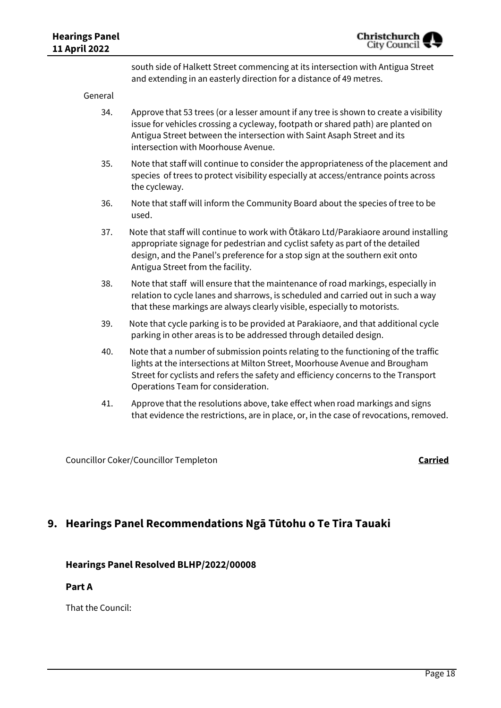south side of Halkett Street commencing at its intersection with Antigua Street and extending in an easterly direction for a distance of 49 metres.

General

- 34. Approve that 53 trees (or a lesser amount if any tree is shown to create a visibility issue for vehicles crossing a cycleway, footpath or shared path) are planted on Antigua Street between the intersection with Saint Asaph Street and its intersection with Moorhouse Avenue.
- 35. Note that staff will continue to consider the appropriateness of the placement and species of trees to protect visibility especially at access/entrance points across the cycleway.
- 36. Note that staff will inform the Community Board about the species of tree to be used.
- 37. Note that staff will continue to work with Ōtākaro Ltd/Parakiaore around installing appropriate signage for pedestrian and cyclist safety as part of the detailed design, and the Panel's preference for a stop sign at the southern exit onto Antigua Street from the facility.
- 38. Note that staff will ensure that the maintenance of road markings, especially in relation to cycle lanes and sharrows, is scheduled and carried out in such a way that these markings are always clearly visible, especially to motorists.
- 39. Note that cycle parking is to be provided at Parakiaore, and that additional cycle parking in other areas is to be addressed through detailed design.
- 40. Note that a number of submission points relating to the functioning of the traffic lights at the intersections at Milton Street, Moorhouse Avenue and Brougham Street for cyclists and refers the safety and efficiency concerns to the Transport Operations Team for consideration.
- 41. Approve that the resolutions above, take effect when road markings and signs that evidence the restrictions, are in place, or, in the case of revocations, removed.

Councillor Coker/Councillor Templeton **Carried**

## **9. Hearings Panel Recommendations Ngā Tūtohu o Te Tira Tauaki**

### **Hearings Panel Resolved BLHP/2022/00008**

#### **Part A**

That the Council: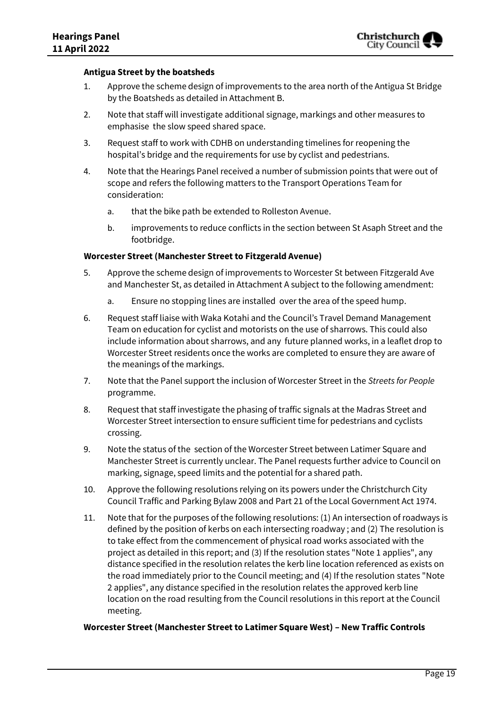#### **Antigua Street by the boatsheds**

- 1. Approve the scheme design of improvements to the area north of the Antigua St Bridge by the Boatsheds as detailed in Attachment B.
- 2. Note that staff will investigate additional signage, markings and other measures to emphasise the slow speed shared space.
- 3. Request staff to work with CDHB on understanding timelines for reopening the hospital's bridge and the requirements for use by cyclist and pedestrians.
- 4. Note that the Hearings Panel received a number of submission points that were out of scope and refers the following matters to the Transport Operations Team for consideration:
	- a. that the bike path be extended to Rolleston Avenue.
	- b. improvements to reduce conflicts in the section between St Asaph Street and the footbridge.

#### **Worcester Street (Manchester Street to Fitzgerald Avenue)**

- 5. Approve the scheme design of improvements to Worcester St between Fitzgerald Ave and Manchester St, as detailed in Attachment A subject to the following amendment:
	- a. Ensure no stopping lines are installed over the area of the speed hump.
- 6. Request staff liaise with Waka Kotahi and the Council's Travel Demand Management Team on education for cyclist and motorists on the use of sharrows. This could also include information about sharrows, and any future planned works, in a leaflet drop to Worcester Street residents once the works are completed to ensure they are aware of the meanings of the markings.
- 7. Note that the Panel support the inclusion of Worcester Street in the *Streets for People*  programme.
- 8. Request that staff investigate the phasing of traffic signals at the Madras Street and Worcester Street intersection to ensure sufficient time for pedestrians and cyclists crossing.
- 9. Note the status of the section of the Worcester Street between Latimer Square and Manchester Street is currently unclear. The Panel requests further advice to Council on marking, signage, speed limits and the potential for a shared path.
- 10. Approve the following resolutions relying on its powers under the Christchurch City Council Traffic and Parking Bylaw 2008 and Part 21 of the Local Government Act 1974.
- 11. Note that for the purposes of the following resolutions: (1) An intersection of roadways is defined by the position of kerbs on each intersecting roadway ; and (2) The resolution is to take effect from the commencement of physical road works associated with the project as detailed in this report; and (3) If the resolution states "Note 1 applies", any distance specified in the resolution relates the kerb line location referenced as exists on the road immediately prior to the Council meeting; and (4) If the resolution states "Note 2 applies", any distance specified in the resolution relates the approved kerb line location on the road resulting from the Council resolutions in this report at the Council meeting.

#### **Worcester Street (Manchester Street to Latimer Square West) – New Traffic Controls**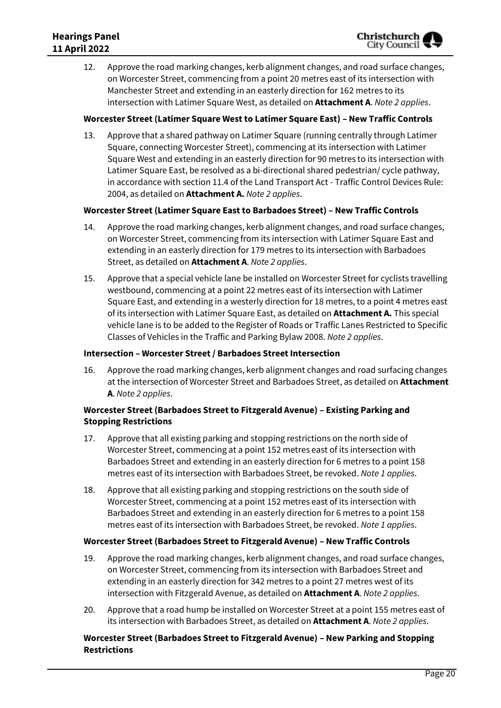12. Approve the road marking changes, kerb alignment changes, and road surface changes, on Worcester Street, commencing from a point 20 metres east of its intersection with Manchester Street and extending in an easterly direction for 162 metres to its intersection with Latimer Square West, as detailed on **Attachment A**. *Note 2 applies*.

#### **Worcester Street (Latimer Square West to Latimer Square East) – New Traffic Controls**

13. Approve that a shared pathway on Latimer Square (running centrally through Latimer Square, connecting Worcester Street), commencing at its intersection with Latimer Square West and extending in an easterly direction for 90 metres to its intersection with Latimer Square East, be resolved as a bi-directional shared pedestrian/ cycle pathway, in accordance with section 11.4 of the Land Transport Act - Traffic Control Devices Rule: 2004, as detailed on **Attachment A.** *Note 2 applies*.

#### **Worcester Street (Latimer Square East to Barbadoes Street) – New Traffic Controls**

- 14. Approve the road marking changes, kerb alignment changes, and road surface changes, on Worcester Street, commencing from its intersection with Latimer Square East and extending in an easterly direction for 179 metres to its intersection with Barbadoes Street, as detailed on **Attachment A**. *Note 2 applies*.
- 15. Approve that a special vehicle lane be installed on Worcester Street for cyclists travelling westbound, commencing at a point 22 metres east of its intersection with Latimer Square East, and extending in a westerly direction for 18 metres, to a point 4 metres east of its intersection with Latimer Square East, as detailed on **Attachment A.** This special vehicle lane is to be added to the Register of Roads or Traffic Lanes Restricted to Specific Classes of Vehicles in the Traffic and Parking Bylaw 2008. *Note 2 applies*.

#### **Intersection – Worcester Street / Barbadoes Street Intersection**

16. Approve the road marking changes, kerb alignment changes and road surfacing changes at the intersection of Worcester Street and Barbadoes Street, as detailed on **Attachment A**. *Note 2 applies*.

#### **Worcester Street (Barbadoes Street to Fitzgerald Avenue) – Existing Parking and Stopping Restrictions**

- 17. Approve that all existing parking and stopping restrictions on the north side of Worcester Street, commencing at a point 152 metres east of its intersection with Barbadoes Street and extending in an easterly direction for 6 metres to a point 158 metres east of its intersection with Barbadoes Street, be revoked. *Note 1 applies*.
- 18. Approve that all existing parking and stopping restrictions on the south side of Worcester Street, commencing at a point 152 metres east of its intersection with Barbadoes Street and extending in an easterly direction for 6 metres to a point 158 metres east of its intersection with Barbadoes Street, be revoked. *Note 1 applies*.

#### **Worcester Street (Barbadoes Street to Fitzgerald Avenue) – New Traffic Controls**

- 19. Approve the road marking changes, kerb alignment changes, and road surface changes, on Worcester Street, commencing from its intersection with Barbadoes Street and extending in an easterly direction for 342 metres to a point 27 metres west of its intersection with Fitzgerald Avenue, as detailed on **Attachment A**. *Note 2 applies*.
- 20. Approve that a road hump be installed on Worcester Street at a point 155 metres east of its intersection with Barbadoes Street, as detailed on **Attachment A**. *Note 2 applies*.

#### **Worcester Street (Barbadoes Street to Fitzgerald Avenue) – New Parking and Stopping Restrictions**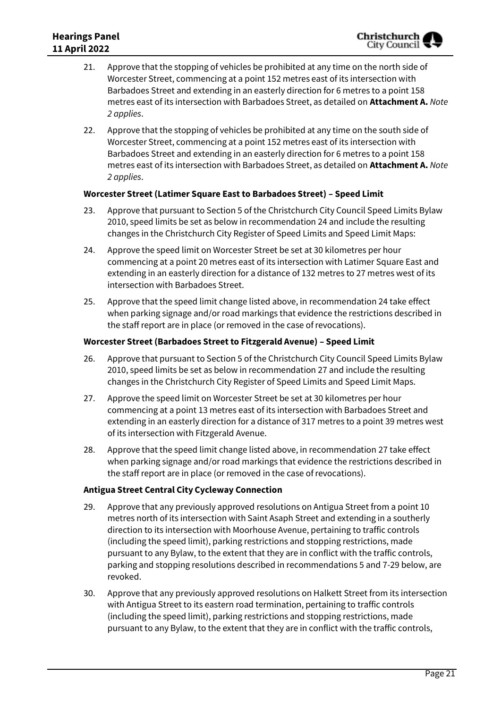- 21. Approve that the stopping of vehicles be prohibited at any time on the north side of Worcester Street, commencing at a point 152 metres east of its intersection with Barbadoes Street and extending in an easterly direction for 6 metres to a point 158 metres east of its intersection with Barbadoes Street, as detailed on **Attachment A.** *Note 2 applies*.
- 22. Approve that the stopping of vehicles be prohibited at any time on the south side of Worcester Street, commencing at a point 152 metres east of its intersection with Barbadoes Street and extending in an easterly direction for 6 metres to a point 158 metres east of its intersection with Barbadoes Street, as detailed on **Attachment A.** *Note 2 applies*.

#### **Worcester Street (Latimer Square East to Barbadoes Street) – Speed Limit**

- 23. Approve that pursuant to Section 5 of the Christchurch City Council Speed Limits Bylaw 2010, speed limits be set as below in recommendation 24 and include the resulting changes in the Christchurch City Register of Speed Limits and Speed Limit Maps:
- 24. Approve the speed limit on Worcester Street be set at 30 kilometres per hour commencing at a point 20 metres east of its intersection with Latimer Square East and extending in an easterly direction for a distance of 132 metres to 27 metres west of its intersection with Barbadoes Street.
- 25. Approve that the speed limit change listed above, in recommendation 24 take effect when parking signage and/or road markings that evidence the restrictions described in the staff report are in place (or removed in the case of revocations).

#### **Worcester Street (Barbadoes Street to Fitzgerald Avenue) – Speed Limit**

- 26. Approve that pursuant to Section 5 of the Christchurch City Council Speed Limits Bylaw 2010, speed limits be set as below in recommendation 27 and include the resulting changes in the Christchurch City Register of Speed Limits and Speed Limit Maps.
- 27. Approve the speed limit on Worcester Street be set at 30 kilometres per hour commencing at a point 13 metres east of its intersection with Barbadoes Street and extending in an easterly direction for a distance of 317 metres to a point 39 metres west of its intersection with Fitzgerald Avenue.
- 28. Approve that the speed limit change listed above, in recommendation 27 take effect when parking signage and/or road markings that evidence the restrictions described in the staff report are in place (or removed in the case of revocations).

#### **Antigua Street Central City Cycleway Connection**

- 29. Approve that any previously approved resolutions on Antigua Street from a point 10 metres north of its intersection with Saint Asaph Street and extending in a southerly direction to its intersection with Moorhouse Avenue, pertaining to traffic controls (including the speed limit), parking restrictions and stopping restrictions, made pursuant to any Bylaw, to the extent that they are in conflict with the traffic controls, parking and stopping resolutions described in recommendations 5 and 7-29 below, are revoked.
- 30. Approve that any previously approved resolutions on Halkett Street from its intersection with Antigua Street to its eastern road termination, pertaining to traffic controls (including the speed limit), parking restrictions and stopping restrictions, made pursuant to any Bylaw, to the extent that they are in conflict with the traffic controls,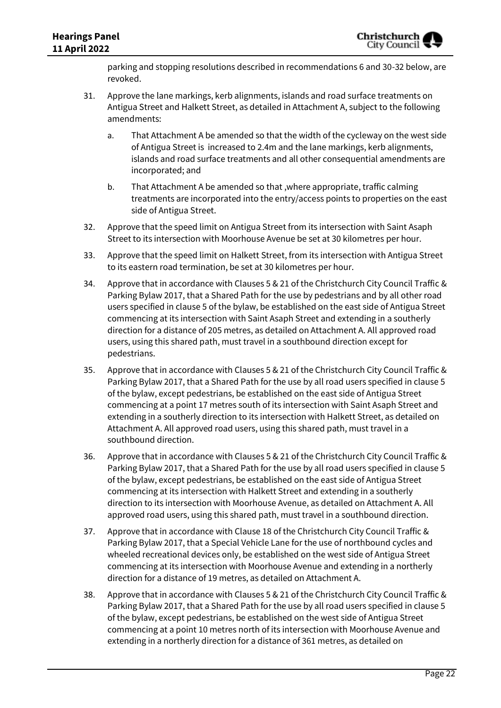parking and stopping resolutions described in recommendations 6 and 30-32 below, are revoked.

- 31. Approve the lane markings, kerb alignments, islands and road surface treatments on Antigua Street and Halkett Street, as detailed in Attachment A, subject to the following amendments:
	- a. That Attachment A be amended so that the width of the cycleway on the west side of Antigua Street is increased to 2.4m and the lane markings, kerb alignments, islands and road surface treatments and all other consequential amendments are incorporated; and
	- b. That Attachment A be amended so that ,where appropriate, traffic calming treatments are incorporated into the entry/access points to properties on the east side of Antigua Street.
- 32. Approve that the speed limit on Antigua Street from its intersection with Saint Asaph Street to its intersection with Moorhouse Avenue be set at 30 kilometres per hour.
- 33. Approve that the speed limit on Halkett Street, from its intersection with Antigua Street to its eastern road termination, be set at 30 kilometres per hour.
- 34. Approve that in accordance with Clauses 5 & 21 of the Christchurch City Council Traffic & Parking Bylaw 2017, that a Shared Path for the use by pedestrians and by all other road users specified in clause 5 of the bylaw, be established on the east side of Antigua Street commencing at its intersection with Saint Asaph Street and extending in a southerly direction for a distance of 205 metres, as detailed on Attachment A. All approved road users, using this shared path, must travel in a southbound direction except for pedestrians.
- 35. Approve that in accordance with Clauses 5 & 21 of the Christchurch City Council Traffic & Parking Bylaw 2017, that a Shared Path for the use by all road users specified in clause 5 of the bylaw, except pedestrians, be established on the east side of Antigua Street commencing at a point 17 metres south of its intersection with Saint Asaph Street and extending in a southerly direction to its intersection with Halkett Street, as detailed on Attachment A. All approved road users, using this shared path, must travel in a southbound direction.
- 36. Approve that in accordance with Clauses 5 & 21 of the Christchurch City Council Traffic & Parking Bylaw 2017, that a Shared Path for the use by all road users specified in clause 5 of the bylaw, except pedestrians, be established on the east side of Antigua Street commencing at its intersection with Halkett Street and extending in a southerly direction to its intersection with Moorhouse Avenue, as detailed on Attachment A. All approved road users, using this shared path, must travel in a southbound direction.
- 37. Approve that in accordance with Clause 18 of the Christchurch City Council Traffic & Parking Bylaw 2017, that a Special Vehicle Lane for the use of northbound cycles and wheeled recreational devices only, be established on the west side of Antigua Street commencing at its intersection with Moorhouse Avenue and extending in a northerly direction for a distance of 19 metres, as detailed on Attachment A.
- 38. Approve that in accordance with Clauses 5 & 21 of the Christchurch City Council Traffic & Parking Bylaw 2017, that a Shared Path for the use by all road users specified in clause 5 of the bylaw, except pedestrians, be established on the west side of Antigua Street commencing at a point 10 metres north of its intersection with Moorhouse Avenue and extending in a northerly direction for a distance of 361 metres, as detailed on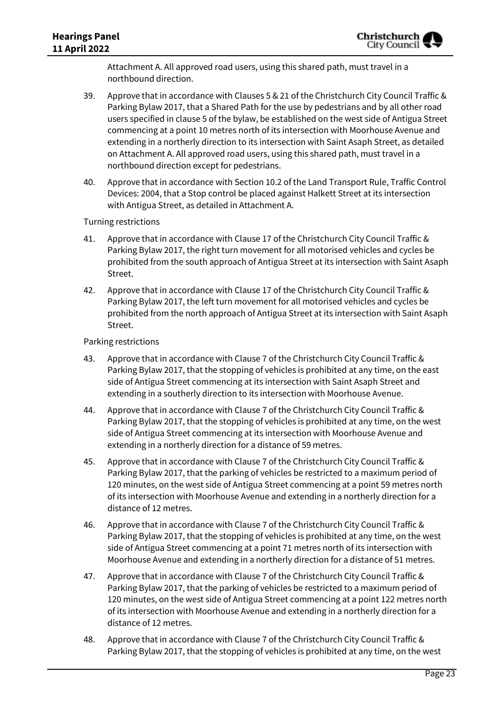Attachment A. All approved road users, using this shared path, must travel in a northbound direction.

- 39. Approve that in accordance with Clauses 5 & 21 of the Christchurch City Council Traffic & Parking Bylaw 2017, that a Shared Path for the use by pedestrians and by all other road users specified in clause 5 of the bylaw, be established on the west side of Antigua Street commencing at a point 10 metres north of its intersection with Moorhouse Avenue and extending in a northerly direction to its intersection with Saint Asaph Street, as detailed on Attachment A. All approved road users, using this shared path, must travel in a northbound direction except for pedestrians.
- 40. Approve that in accordance with Section 10.2 of the Land Transport Rule, Traffic Control Devices: 2004, that a Stop control be placed against Halkett Street at its intersection with Antigua Street, as detailed in Attachment A.

Turning restrictions

- 41. Approve that in accordance with Clause 17 of the Christchurch City Council Traffic & Parking Bylaw 2017, the right turn movement for all motorised vehicles and cycles be prohibited from the south approach of Antigua Street at its intersection with Saint Asaph Street.
- 42. Approve that in accordance with Clause 17 of the Christchurch City Council Traffic & Parking Bylaw 2017, the left turn movement for all motorised vehicles and cycles be prohibited from the north approach of Antigua Street at its intersection with Saint Asaph Street.

Parking restrictions

- 43. Approve that in accordance with Clause 7 of the Christchurch City Council Traffic & Parking Bylaw 2017, that the stopping of vehicles is prohibited at any time, on the east side of Antigua Street commencing at its intersection with Saint Asaph Street and extending in a southerly direction to its intersection with Moorhouse Avenue.
- 44. Approve that in accordance with Clause 7 of the Christchurch City Council Traffic & Parking Bylaw 2017, that the stopping of vehicles is prohibited at any time, on the west side of Antigua Street commencing at its intersection with Moorhouse Avenue and extending in a northerly direction for a distance of 59 metres.
- 45. Approve that in accordance with Clause 7 of the Christchurch City Council Traffic & Parking Bylaw 2017, that the parking of vehicles be restricted to a maximum period of 120 minutes, on the west side of Antigua Street commencing at a point 59 metres north of its intersection with Moorhouse Avenue and extending in a northerly direction for a distance of 12 metres.
- 46. Approve that in accordance with Clause 7 of the Christchurch City Council Traffic & Parking Bylaw 2017, that the stopping of vehicles is prohibited at any time, on the west side of Antigua Street commencing at a point 71 metres north of its intersection with Moorhouse Avenue and extending in a northerly direction for a distance of 51 metres.
- 47. Approve that in accordance with Clause 7 of the Christchurch City Council Traffic & Parking Bylaw 2017, that the parking of vehicles be restricted to a maximum period of 120 minutes, on the west side of Antigua Street commencing at a point 122 metres north of its intersection with Moorhouse Avenue and extending in a northerly direction for a distance of 12 metres.
- 48. Approve that in accordance with Clause 7 of the Christchurch City Council Traffic & Parking Bylaw 2017, that the stopping of vehicles is prohibited at any time, on the west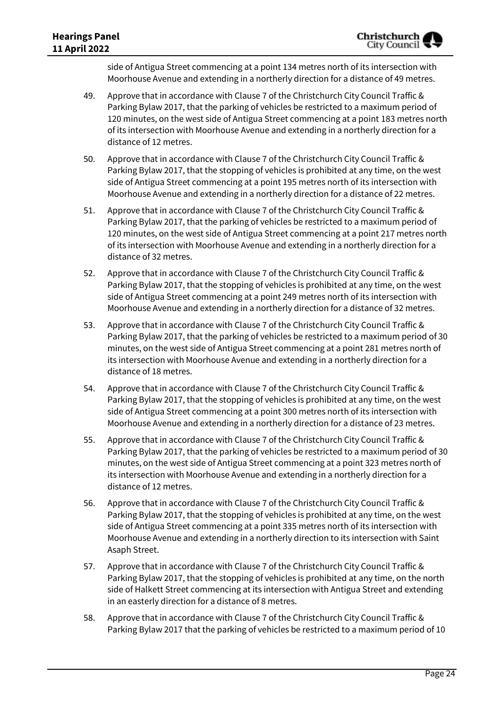side of Antigua Street commencing at a point 134 metres north of its intersection with Moorhouse Avenue and extending in a northerly direction for a distance of 49 metres.

- 49. Approve that in accordance with Clause 7 of the Christchurch City Council Traffic & Parking Bylaw 2017, that the parking of vehicles be restricted to a maximum period of 120 minutes, on the west side of Antigua Street commencing at a point 183 metres north of its intersection with Moorhouse Avenue and extending in a northerly direction for a distance of 12 metres.
- 50. Approve that in accordance with Clause 7 of the Christchurch City Council Traffic & Parking Bylaw 2017, that the stopping of vehicles is prohibited at any time, on the west side of Antigua Street commencing at a point 195 metres north of its intersection with Moorhouse Avenue and extending in a northerly direction for a distance of 22 metres.
- 51. Approve that in accordance with Clause 7 of the Christchurch City Council Traffic & Parking Bylaw 2017, that the parking of vehicles be restricted to a maximum period of 120 minutes, on the west side of Antigua Street commencing at a point 217 metres north of its intersection with Moorhouse Avenue and extending in a northerly direction for a distance of 32 metres.
- 52. Approve that in accordance with Clause 7 of the Christchurch City Council Traffic & Parking Bylaw 2017, that the stopping of vehicles is prohibited at any time, on the west side of Antigua Street commencing at a point 249 metres north of its intersection with Moorhouse Avenue and extending in a northerly direction for a distance of 32 metres.
- 53. Approve that in accordance with Clause 7 of the Christchurch City Council Traffic & Parking Bylaw 2017, that the parking of vehicles be restricted to a maximum period of 30 minutes, on the west side of Antigua Street commencing at a point 281 metres north of its intersection with Moorhouse Avenue and extending in a northerly direction for a distance of 18 metres.
- 54. Approve that in accordance with Clause 7 of the Christchurch City Council Traffic & Parking Bylaw 2017, that the stopping of vehicles is prohibited at any time, on the west side of Antigua Street commencing at a point 300 metres north of its intersection with Moorhouse Avenue and extending in a northerly direction for a distance of 23 metres.
- 55. Approve that in accordance with Clause 7 of the Christchurch City Council Traffic & Parking Bylaw 2017, that the parking of vehicles be restricted to a maximum period of 30 minutes, on the west side of Antigua Street commencing at a point 323 metres north of its intersection with Moorhouse Avenue and extending in a northerly direction for a distance of 12 metres.
- 56. Approve that in accordance with Clause 7 of the Christchurch City Council Traffic & Parking Bylaw 2017, that the stopping of vehicles is prohibited at any time, on the west side of Antigua Street commencing at a point 335 metres north of its intersection with Moorhouse Avenue and extending in a northerly direction to its intersection with Saint Asaph Street.
- 57. Approve that in accordance with Clause 7 of the Christchurch City Council Traffic & Parking Bylaw 2017, that the stopping of vehicles is prohibited at any time, on the north side of Halkett Street commencing at its intersection with Antigua Street and extending in an easterly direction for a distance of 8 metres.
- 58. Approve that in accordance with Clause 7 of the Christchurch City Council Traffic & Parking Bylaw 2017 that the parking of vehicles be restricted to a maximum period of 10